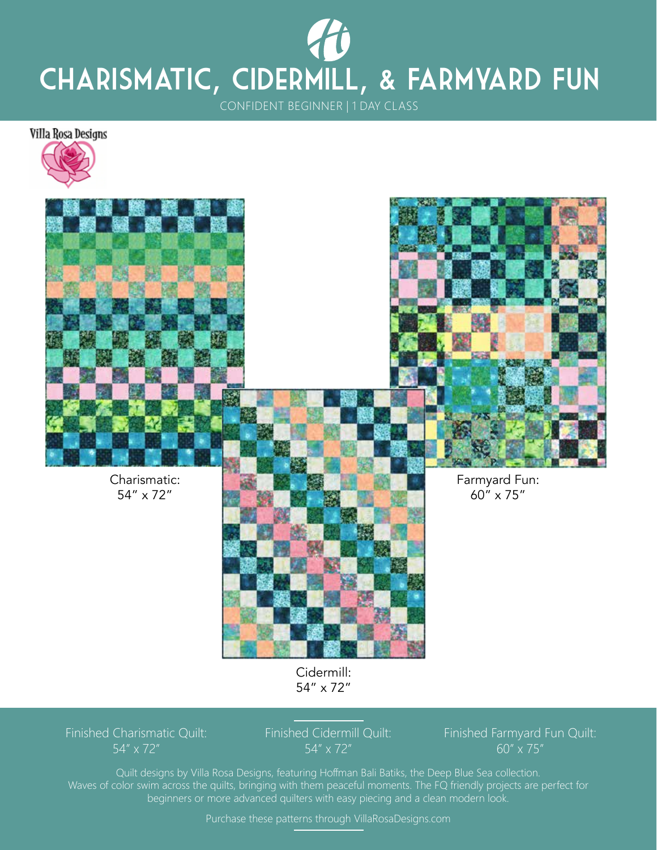## CONFIDENT BEGINNER | 1 DAY CLASS Charismatic, Cidermill, & Farmyard Fun

Villa Rosa Designs





Charismatic: 54" x 72"



Farmyard Fun: 60" x 75"

Cidermill: 54" x 72"

Finished Charismatic Quilt: 54" x 72"

Finished Cidermill Quilt: 54" x 72"

Finished Farmyard Fun Quilt: 60" x 75"

Quilt designs by Villa Rosa Designs, featuring Hoffman Bali Batiks, the Deep Blue Sea collection. Waves of color swim across the quilts, bringing with them peaceful moments. The FQ friendly projects are perfect for beginners or more advanced quilters with easy piecing and a clean modern look.

Purchase these patterns through VillaRosaDesigns.com